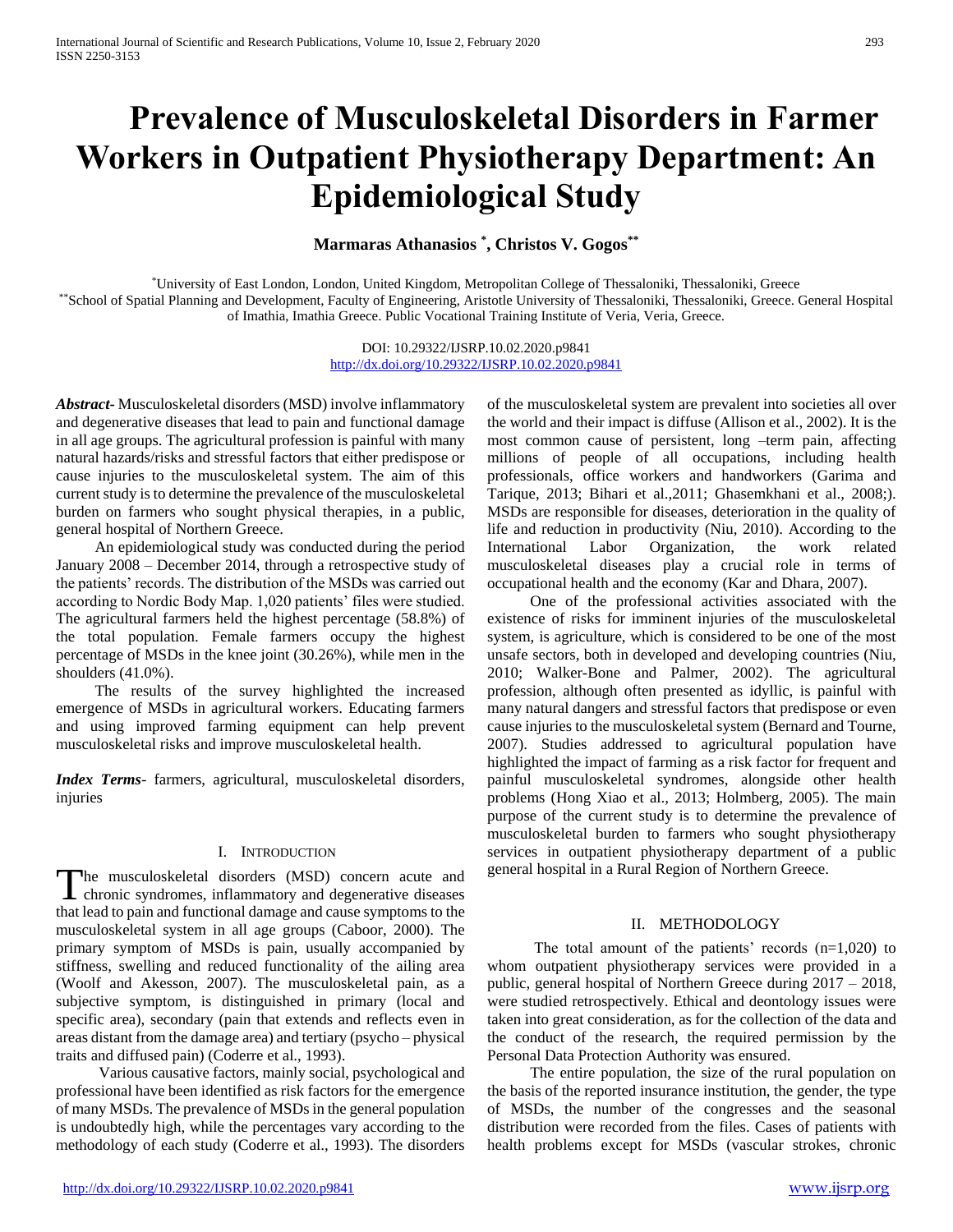# **Prevalence of Musculoskeletal Disorders in Farmer Workers in Outpatient Physiotherapy Department: An Epidemiological Study**

## **Marmaras Athanasios \* , Christos V. Gogos\*\***

\*University of East London, London, United Kingdom, Metropolitan College of Thessaloniki, Thessaloniki, Greece \*\*School of Spatial Planning and Development, Faculty of Engineering, Aristotle University of Thessaloniki, Thessaloniki, Greece. General Hospital of Imathia, Imathia Greece. Public Vocational Training Institute of Veria, Veria, Greece.

> DOI: 10.29322/IJSRP.10.02.2020.p9841 <http://dx.doi.org/10.29322/IJSRP.10.02.2020.p9841>

*Abstract***-** Musculoskeletal disorders (MSD) involve inflammatory and degenerative diseases that lead to pain and functional damage in all age groups. The agricultural profession is painful with many natural hazards/risks and stressful factors that either predispose or cause injuries to the musculoskeletal system. The aim of this current study is to determine the prevalence of the musculoskeletal burden on farmers who sought physical therapies, in a public, general hospital of Northern Greece.

 An epidemiological study was conducted during the period January 2008 – December 2014, through a retrospective study of the patients' records. The distribution of the MSDs was carried out according to Nordic Body Map. 1,020 patients' files were studied. The agricultural farmers held the highest percentage (58.8%) of the total population. Female farmers occupy the highest percentage of MSDs in the knee joint (30.26%), while men in the shoulders (41.0%).

 The results of the survey highlighted the increased emergence of MSDs in agricultural workers. Educating farmers and using improved farming equipment can help prevent musculoskeletal risks and improve musculoskeletal health.

*Index Terms*- farmers, agricultural, musculoskeletal disorders, injuries

#### I. INTRODUCTION

he musculoskeletal disorders (MSD) concern acute and The musculoskeletal disorders (MSD) concern acute and chronic syndromes, inflammatory and degenerative diseases that lead to pain and functional damage and cause symptoms to the musculoskeletal system in all age groups (Caboor, 2000). The primary symptom of MSDs is pain, usually accompanied by stiffness, swelling and reduced functionality of the ailing area (Woolf and Akesson, 2007). The musculoskeletal pain, as a subjective symptom, is distinguished in primary (local and specific area), secondary (pain that extends and reflects even in areas distant from the damage area) and tertiary (psycho – physical traits and diffused pain) (Coderre et al., 1993).

 Various causative factors, mainly social, psychological and professional have been identified as risk factors for the emergence of many MSDs. The prevalence of MSDs in the general population is undoubtedly high, while the percentages vary according to the methodology of each study (Coderre et al., 1993). The disorders

<http://dx.doi.org/10.29322/IJSRP.10.02.2020.p9841> [www.ijsrp.org](http://ijsrp.org/)

of the musculoskeletal system are prevalent into societies all over the world and their impact is diffuse (Allison et al., 2002). It is the most common cause of persistent, long –term pain, affecting millions of people of all occupations, including health professionals, office workers and handworkers (Garima and Tarique, 2013; Bihari et al.,2011; Ghasemkhani et al., 2008;). MSDs are responsible for diseases, deterioration in the quality of life and reduction in productivity (Niu, 2010). According to the International Labor Organization, the work related musculoskeletal diseases play a crucial role in terms of occupational health and the economy (Kar and Dhara, 2007).

 One of the professional activities associated with the existence of risks for imminent injuries of the musculoskeletal system, is agriculture, which is considered to be one of the most unsafe sectors, both in developed and developing countries (Niu, 2010; Walker-Bone and Palmer, 2002). The agricultural profession, although often presented as idyllic, is painful with many natural dangers and stressful factors that predispose or even cause injuries to the musculoskeletal system (Bernard and Tourne, 2007). Studies addressed to agricultural population have highlighted the impact of farming as a risk factor for frequent and painful musculoskeletal syndromes, alongside other health problems (Hong Xiao et al., 2013; Holmberg, 2005). The main purpose of the current study is to determine the prevalence of musculoskeletal burden to farmers who sought physiotherapy services in outpatient physiotherapy department of a public general hospital in a Rural Region of Northern Greece.

## II. METHODOLOGY

The total amount of the patients' records  $(n=1,020)$  to whom outpatient physiotherapy services were provided in a public, general hospital of Northern Greece during 2017 – 2018, were studied retrospectively. Ethical and deontology issues were taken into great consideration, as for the collection of the data and the conduct of the research, the required permission by the Personal Data Protection Authority was ensured.

 The entire population, the size of the rural population on the basis of the reported insurance institution, the gender, the type of MSDs, the number of the congresses and the seasonal distribution were recorded from the files. Cases of patients with health problems except for MSDs (vascular strokes, chronic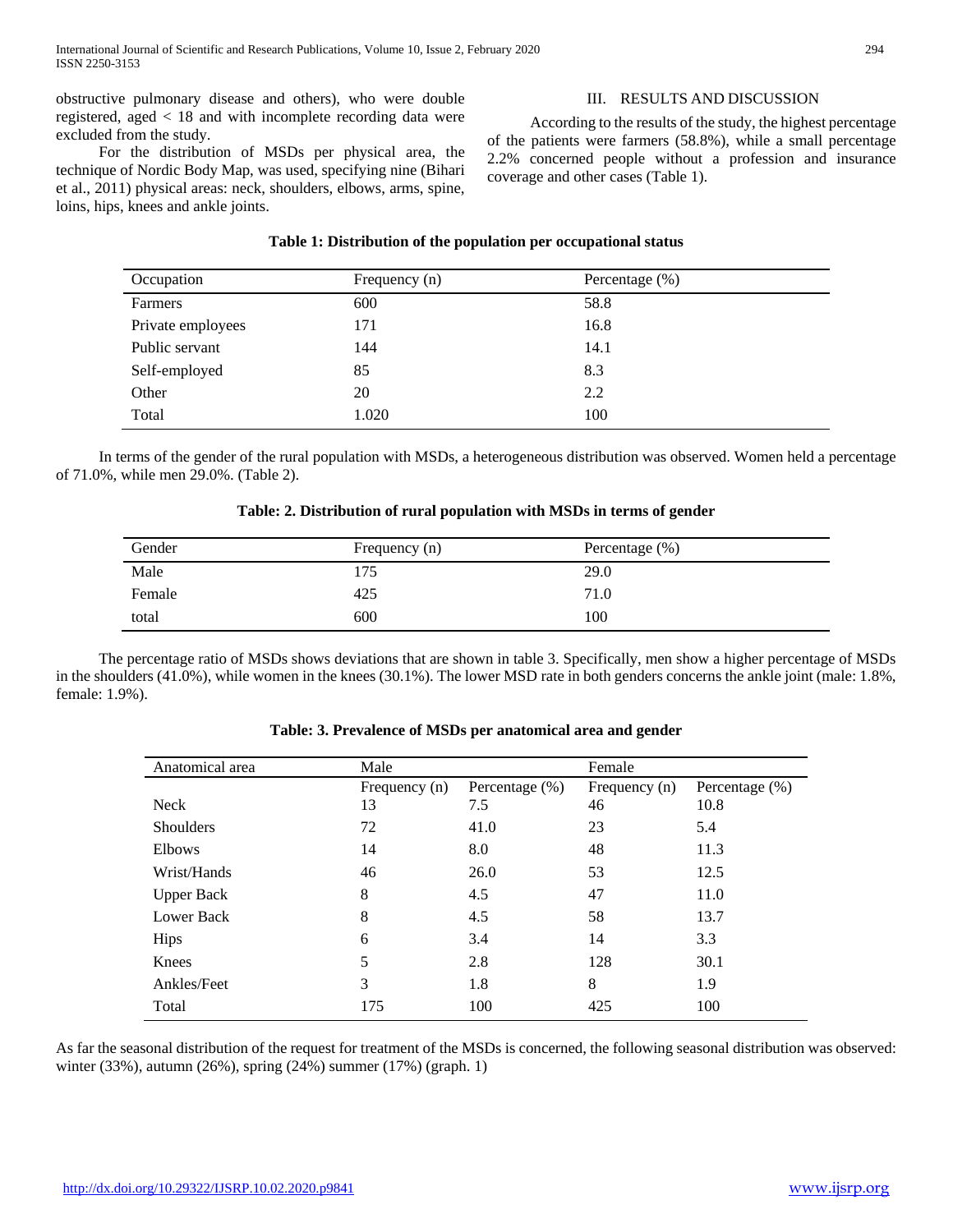obstructive pulmonary disease and others), who were double registered, aged < 18 and with incomplete recording data were excluded from the study.

 For the distribution of MSDs per physical area, the technique of Nordic Body Map, was used, specifying nine (Bihari et al., 2011) physical areas: neck, shoulders, elbows, arms, spine, loins, hips, knees and ankle joints.

III. RESULTS AND DISCUSSION

 According to the results of the study, the highest percentage of the patients were farmers (58.8%), while a small percentage 2.2% concerned people without a profession and insurance coverage and other cases (Table 1).

## **Table 1: Distribution of the population per occupational status**

| Occupation        | Frequency (n) | Percentage (%) |
|-------------------|---------------|----------------|
| Farmers           | 600           | 58.8           |
| Private employees | 171           | 16.8           |
| Public servant    | 144           | 14.1           |
| Self-employed     | 85            | 8.3            |
| Other             | 20            | 2.2            |
| Total             | 1.020         | 100            |

 In terms of the gender of the rural population with MSDs, a heterogeneous distribution was observed. Women held a percentage of 71.0%, while men 29.0%. (Table 2).

## **Table: 2. Distribution of rural population with MSDs in terms of gender**

| Gender | Frequency (n) | Percentage $(\% )$ |
|--------|---------------|--------------------|
| Male   | 175           | 29.0               |
| Female | 425           | 71.0               |
| total  | 600           | 100                |

 The percentage ratio of MSDs shows deviations that are shown in table 3. Specifically, men show a higher percentage of MSDs in the shoulders (41.0%), while women in the knees (30.1%). The lower MSD rate in both genders concerns the ankle joint (male: 1.8%, female: 1.9%).

| Anatomical area   | Male          |                   | Female        |                   |
|-------------------|---------------|-------------------|---------------|-------------------|
|                   | Frequency (n) | Percentage $(\%)$ | Frequency (n) | Percentage $(\%)$ |
| <b>Neck</b>       | 13            | 7.5               | 46            | 10.8              |
| <b>Shoulders</b>  | 72            | 41.0              | 23            | 5.4               |
| Elbows            | 14            | 8.0               | 48            | 11.3              |
| Wrist/Hands       | 46            | 26.0              | 53            | 12.5              |
| <b>Upper Back</b> | 8             | 4.5               | 47            | 11.0              |
| <b>Lower Back</b> | 8             | 4.5               | 58            | 13.7              |
| <b>Hips</b>       | 6             | 3.4               | 14            | 3.3               |
| Knees             | 5             | 2.8               | 128           | 30.1              |
| Ankles/Feet       | 3             | 1.8               | 8             | 1.9               |
| Total             | 175           | 100               | 425           | 100               |

## **Table: 3. Prevalence of MSDs per anatomical area and gender**

As far the seasonal distribution of the request for treatment of the MSDs is concerned, the following seasonal distribution was observed: winter (33%), autumn (26%), spring (24%) summer (17%) (graph. 1)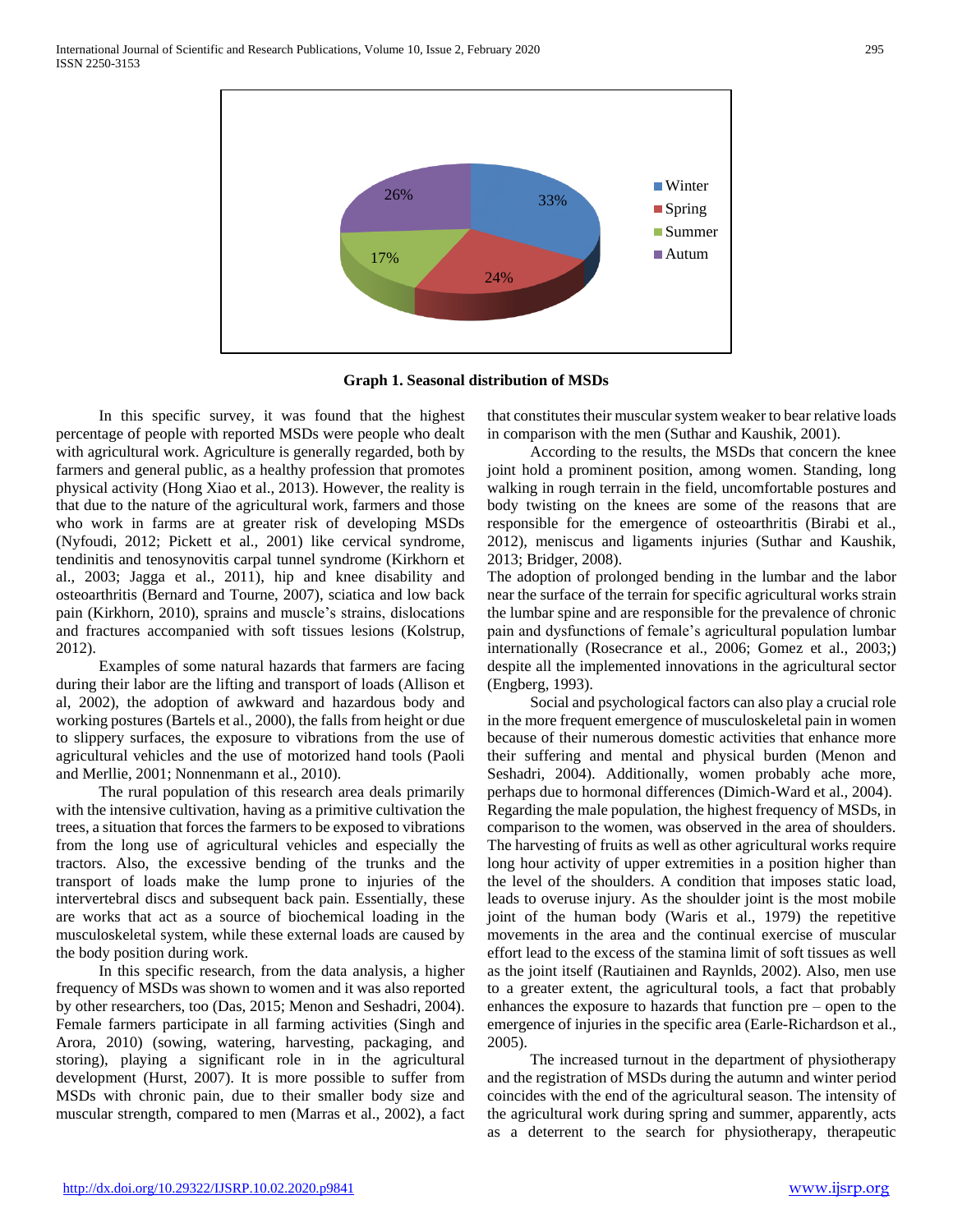

**Graph 1. Seasonal distribution of MSDs**

 In this specific survey, it was found that the highest percentage of people with reported MSDs were people who dealt with agricultural work. Agriculture is generally regarded, both by farmers and general public, as a healthy profession that promotes physical activity (Hong Xiao et al., 2013). However, the reality is that due to the nature of the agricultural work, farmers and those who work in farms are at greater risk of developing MSDs (Nyfoudi, 2012; Pickett et al., 2001) like cervical syndrome, tendinitis and tenosynovitis carpal tunnel syndrome (Kirkhorn et al., 2003; Jagga et al., 2011), hip and knee disability and osteoarthritis (Bernard and Tourne, 2007), sciatica and low back pain (Kirkhorn, 2010), sprains and muscle's strains, dislocations and fractures accompanied with soft tissues lesions (Kolstrup, 2012).

 Examples of some natural hazards that farmers are facing during their labor are the lifting and transport of loads (Allison et al, 2002), the adoption of awkward and hazardous body and working postures (Bartels et al., 2000), the falls from height or due to slippery surfaces, the exposure to vibrations from the use of agricultural vehicles and the use of motorized hand tools (Paoli and Merllie, 2001; Nonnenmann et al., 2010).

 The rural population of this research area deals primarily with the intensive cultivation, having as a primitive cultivation the trees, a situation that forces the farmers to be exposed to vibrations from the long use of agricultural vehicles and especially the tractors. Also, the excessive bending of the trunks and the transport of loads make the lump prone to injuries of the intervertebral discs and subsequent back pain. Essentially, these are works that act as a source of biochemical loading in the musculoskeletal system, while these external loads are caused by the body position during work.

 In this specific research, from the data analysis, a higher frequency of MSDs was shown to women and it was also reported by other researchers, too (Das, 2015; Menon and Seshadri, 2004). Female farmers participate in all farming activities (Singh and Arora, 2010) (sowing, watering, harvesting, packaging, and storing), playing a significant role in in the agricultural development (Hurst, 2007). It is more possible to suffer from MSDs with chronic pain, due to their smaller body size and muscular strength, compared to men (Marras et al., 2002), a fact

that constitutes their muscular system weaker to bear relative loads in comparison with the men (Suthar and Kaushik, 2001).

 According to the results, the MSDs that concern the knee joint hold a prominent position, among women. Standing, long walking in rough terrain in the field, uncomfortable postures and body twisting on the knees are some of the reasons that are responsible for the emergence of osteoarthritis (Birabi et al., 2012), meniscus and ligaments injuries (Suthar and Kaushik, 2013; Bridger, 2008).

The adoption of prolonged bending in the lumbar and the labor near the surface of the terrain for specific agricultural works strain the lumbar spine and are responsible for the prevalence of chronic pain and dysfunctions of female's agricultural population lumbar internationally (Rosecrance et al., 2006; Gomez et al., 2003;) despite all the implemented innovations in the agricultural sector (Engberg, 1993).

 Social and psychological factors can also play a crucial role in the more frequent emergence of musculoskeletal pain in women because of their numerous domestic activities that enhance more their suffering and mental and physical burden (Menon and Seshadri, 2004). Additionally, women probably ache more, perhaps due to hormonal differences (Dimich-Ward et al., 2004). Regarding the male population, the highest frequency of MSDs, in comparison to the women, was observed in the area of shoulders. The harvesting of fruits as well as other agricultural works require long hour activity of upper extremities in a position higher than the level of the shoulders. A condition that imposes static load, leads to overuse injury. As the shoulder joint is the most mobile joint of the human body (Waris et al., 1979) the repetitive movements in the area and the continual exercise of muscular effort lead to the excess of the stamina limit of soft tissues as well as the joint itself (Rautiainen and Raynlds, 2002). Also, men use to a greater extent, the agricultural tools, a fact that probably enhances the exposure to hazards that function pre – open to the emergence of injuries in the specific area (Earle-Richardson et al., 2005).

 The increased turnout in the department of physiotherapy and the registration of MSDs during the autumn and winter period coincides with the end of the agricultural season. The intensity of the agricultural work during spring and summer, apparently, acts as a deterrent to the search for physiotherapy, therapeutic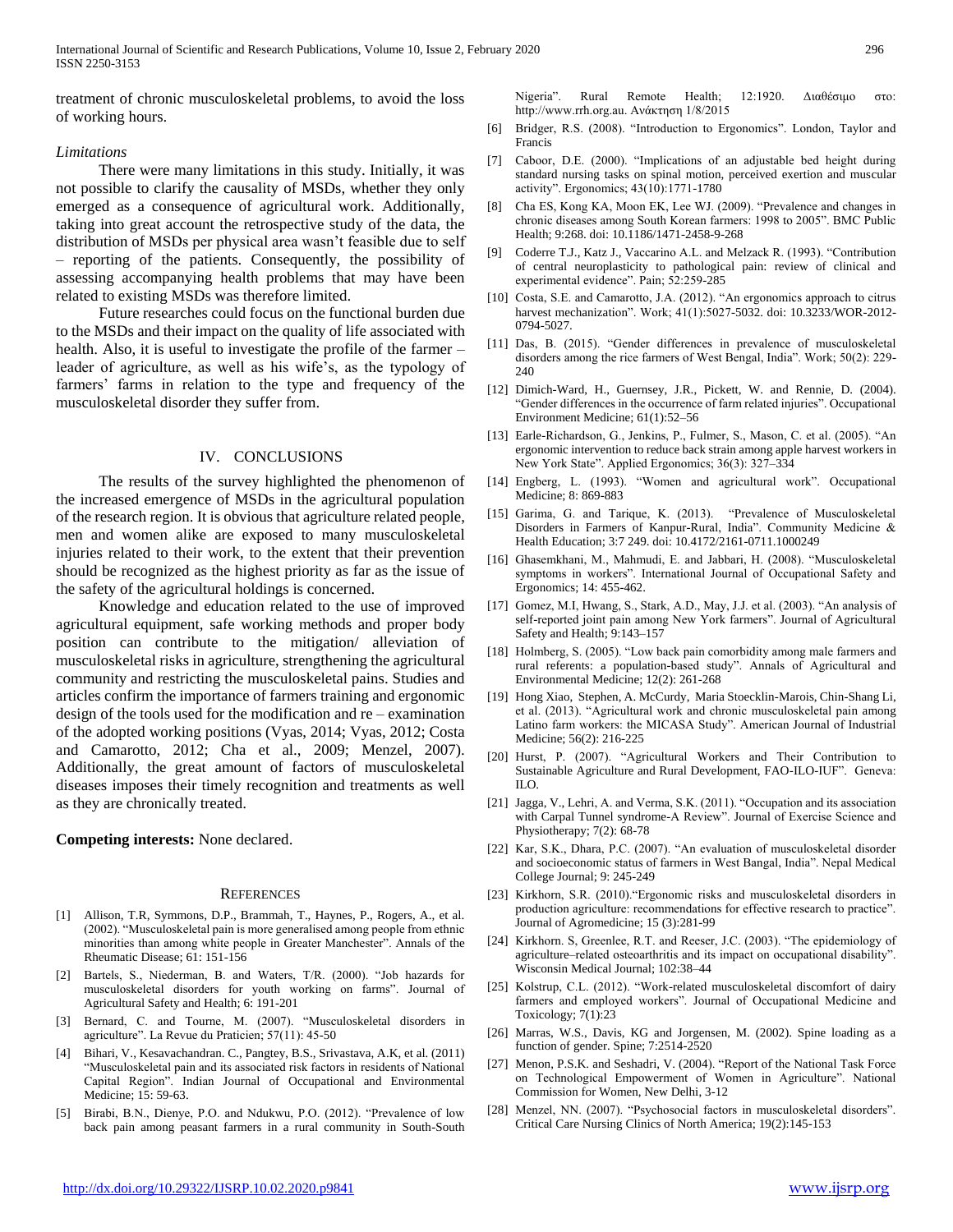treatment of chronic musculoskeletal problems, to avoid the loss of working hours.

#### *Limitations*

 There were many limitations in this study. Initially, it was not possible to clarify the causality of MSDs, whether they only emerged as a consequence of agricultural work. Additionally, taking into great account the retrospective study of the data, the distribution of MSDs per physical area wasn't feasible due to self – reporting of the patients. Consequently, the possibility of assessing accompanying health problems that may have been related to existing MSDs was therefore limited.

 Future researches could focus on the functional burden due to the MSDs and their impact on the quality of life associated with health. Also, it is useful to investigate the profile of the farmer – leader of agriculture, as well as his wife's, as the typology of farmers' farms in relation to the type and frequency of the musculoskeletal disorder they suffer from.

### IV. CONCLUSIONS

 The results of the survey highlighted the phenomenon of the increased emergence of MSDs in the agricultural population of the research region. It is obvious that agriculture related people, men and women alike are exposed to many musculoskeletal injuries related to their work, to the extent that their prevention should be recognized as the highest priority as far as the issue of the safety of the agricultural holdings is concerned.

 Knowledge and education related to the use of improved agricultural equipment, safe working methods and proper body position can contribute to the mitigation/ alleviation of musculoskeletal risks in agriculture, strengthening the agricultural community and restricting the musculoskeletal pains. Studies and articles confirm the importance of farmers training and ergonomic design of the tools used for the modification and re – examination of the adopted working positions (Vyas, 2014; Vyas, 2012; Costa and Camarotto, 2012; Cha et al., 2009; Menzel, 2007). Additionally, the great amount of factors of musculoskeletal diseases imposes their timely recognition and treatments as well as they are chronically treated.

**Competing interests:** None declared.

#### **REFERENCES**

- [1] Allison, T.R, Symmons, D.P., Brammah, T., Haynes, P., Rogers, A., et al. (2002). "Musculoskeletal pain is more generalised among people from ethnic minorities than among white people in Greater Manchester". Annals of the Rheumatic Disease; 61: 151-156
- [2] Bartels, S., Niederman, B. and Waters, T/R. (2000). "Job hazards for musculoskeletal disorders for youth working on farms". Journal of Agricultural Safety and Health; 6: 191-201
- [3] Bernard, C. and Tourne, M. (2007). "Musculoskeletal disorders in agriculture". La Revue du Praticien; 57(11): 45-50
- [4] Bihari, V., Kesavachandran. C., Pangtey, B.S., Srivastava, A.K, et al. (2011) "Musculoskeletal pain and its associated risk factors in residents of National Capital Region". Indian Journal of Occupational and Environmental Medicine; 15: 59-63.
- [5] Birabi, B.N., Dienye, P.O. and Ndukwu, P.O. (2012). "Prevalence of low back pain among peasant farmers in a rural community in South-South

Nigeria". Rural Remote Health; 12:1920. Διαθέσιμο στο: http://www.rrh.org.au. Ανάκτηση 1/8/2015

- [6] Bridger, R.S. (2008). "Introduction to Ergonomics". London, Taylor and Francis
- [7] Caboor, D.E. (2000). "Implications of an adjustable bed height during standard nursing tasks on spinal motion, perceived exertion and muscular activity". Ergonomics; 43(10):1771-1780
- [8] Cha ES, Kong KA, Moon EK, Lee WJ. (2009). "Prevalence and changes in chronic diseases among South Korean farmers: 1998 to 2005". BMC Public Health; 9:268. doi: 10.1186/1471-2458-9-268
- [9] Coderre T.J., Katz J., Vaccarino A.L. and Melzack R. (1993). "Contribution of central neuroplasticity to pathological pain: review of clinical and experimental evidence". Pain; 52:259-285
- [10] Costa, S.E. and Camarotto, J.A. (2012). "An ergonomics approach to citrus harvest mechanization". Work; 41(1):5027-5032. doi: 10.3233/WOR-2012- 0794-5027.
- [11] Das, B. (2015). "Gender differences in prevalence of musculoskeletal disorders among the rice farmers of West Bengal, India". Work; 50(2): 229- 240
- [12] Dimich-Ward, H., Guernsey, J.R., Pickett, W. and Rennie, D. (2004). "Gender differences in the occurrence of farm related injuries". Occupational Environment Medicine; 61(1):52–56
- [13] Earle-Richardson, G., Jenkins, P., Fulmer, S., Mason, C. et al. (2005). "An ergonomic intervention to reduce back strain among apple harvest workers in New York State". Applied Ergonomics; 36(3): 327–334
- [14] Engberg, L. (1993). "Women and agricultural work". Occupational Medicine; 8: 869-883
- [15] Garima, G. and Tarique, K. (2013). "Prevalence of Musculoskeletal Disorders in Farmers of Kanpur-Rural, India". Community Medicine & Health Education; 3:7 249. doi: 10.4172/2161-0711.1000249
- [16] Ghasemkhani, M., Mahmudi, E. and Jabbari, H. (2008). "Musculoskeletal symptoms in workers". International Journal of Occupational Safety and Ergonomics; 14: 455-462.
- [17] Gomez, M.I, Hwang, S., Stark, A.D., May, J.J. et al. (2003). "An analysis of self-reported joint pain among New York farmers". Journal of Agricultural Safety and Health; 9:143–157
- [18] Holmberg, S. (2005). "Low back pain comorbidity among male farmers and rural referents: a population-based study". Annals of Agricultural and Environmental Medicine; 12(2): 261-268
- [19] Hong Xiao, Stephen, A. McCurdy, Maria Stoecklin-Marois, Chin-Shang Li, et al. (2013). "Agricultural work and chronic musculoskeletal pain among Latino farm workers: the MICASA Study". American Journal of Industrial Medicine; 56(2): 216-225
- [20] Hurst, P. (2007). "Agricultural Workers and Their Contribution to Sustainable Agriculture and Rural Development, FAO-ILO-IUF". Geneva: ILO.
- [21] Jagga, V., Lehri, A. and Verma, S.K. (2011). "Occupation and its association with Carpal Tunnel syndrome-A Review". Journal of Exercise Science and Physiotherapy; 7(2): 68-78
- [22] Kar, S.K., Dhara, P.C. (2007). "An evaluation of musculoskeletal disorder and socioeconomic status of farmers in West Bangal, India". Nepal Medical College Journal; 9: 245-249
- [23] Kirkhorn, S.R. (2010)."Ergonomic risks and musculoskeletal disorders in production agriculture: recommendations for effective research to practice". Journal of Agromedicine; 15 (3):281-99
- [24] Kirkhorn. S, Greenlee, R.T. and Reeser, J.C. (2003). "The epidemiology of agriculture–related osteoarthritis and its impact on occupational disability". Wisconsin Medical Journal; 102:38–44
- [25] Kolstrup, C.L. (2012). "Work-related musculoskeletal discomfort of dairy farmers and employed workers". Journal of Occupational Medicine and Toxicology; 7(1):23
- [26] Marras, W.S., Davis, KG and Jorgensen, M. (2002). Spine loading as a function of gender. Spine; 7:2514-2520
- [27] Menon, P.S.K. and Seshadri, V. (2004). "Report of the National Task Force on Technological Empowerment of Women in Agriculture". National Commission for Women, New Delhi, 3-12
- [28] Menzel, NN. (2007). "Psychosocial factors in musculoskeletal disorders". Critical Care Nursing Clinics of North America; 19(2):145-153